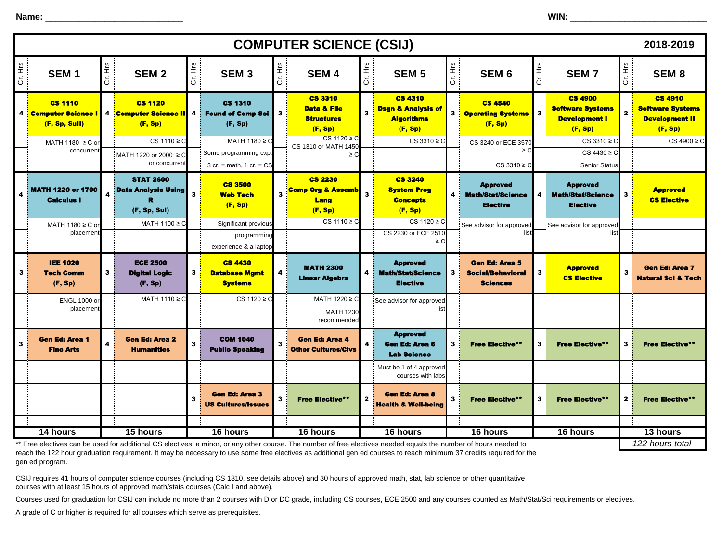**Name:** \_\_\_\_\_\_\_\_\_\_\_\_\_\_\_\_\_\_\_\_\_\_\_\_\_\_\_\_ **WIN:** \_\_\_\_\_\_\_\_\_\_\_\_\_\_\_\_\_\_\_\_\_\_\_\_\_\_\_\_\_\_

|              |                                                                                                                                                                                   |         |                                                                |         |                                                                                |                         | <b>COMPUTER SCIENCE (CSIJ)</b>                                           |                         |                                                                                 |        |                                                                                   |         |                                                                                 |              | 2018-2019                                                                     |
|--------------|-----------------------------------------------------------------------------------------------------------------------------------------------------------------------------------|---------|----------------------------------------------------------------|---------|--------------------------------------------------------------------------------|-------------------------|--------------------------------------------------------------------------|-------------------------|---------------------------------------------------------------------------------|--------|-----------------------------------------------------------------------------------|---------|---------------------------------------------------------------------------------|--------------|-------------------------------------------------------------------------------|
| е.<br>Н<br>ō | SEM <sub>1</sub>                                                                                                                                                                  | Cr. Hrs | SEM <sub>2</sub>                                               | Cr. Hrs | SEM <sub>3</sub>                                                               | Cr. Hrs                 | <b>SEM4</b>                                                              | Cr. Hrs                 | <b>SEM 5</b>                                                                    | 上<br>ご | SEM <sub>6</sub>                                                                  | Cr. Hrs | <b>SEM7</b>                                                                     | Cr. Hrs      | SEM <sub>8</sub>                                                              |
|              | <b>CS 1110</b><br>4 <b>Computer Science I</b><br>(F, Sp, Sull)                                                                                                                    | 4       | <b>CS 1120</b><br><b>Computer Science II</b><br>(F, Sp)        | 4       | <b>CS 1310</b><br><b>Found of Comp Sci</b><br>(F, Sp)                          | 3                       | <b>CS 3310</b><br><b>Data &amp; File</b><br><b>Structures</b><br>(F, Sp) | $\overline{\mathbf{3}}$ | <b>CS 4310</b><br><b>Dsgn &amp; Analysis of</b><br><b>Algorithms</b><br>(F, Sp) | 3 i    | <b>CS 4540</b><br><b>Operating Systems</b><br>(F, Sp)                             | 3       | <b>CS 4900</b><br><b>Software Systems</b><br><b>Development I</b><br>(F, Sp)    | $\mathbf{2}$ | <b>CS 4910</b><br><b>Software Systems</b><br><b>Development II</b><br>(F, Sp) |
|              | MATH 1180 $\geq$ C or                                                                                                                                                             |         | CS 1110 $\geq$ C                                               |         | MATH 1180 ≥ C                                                                  |                         | $CS 1120 \geq C$<br>CS 1310 or MATH 1450                                 |                         | $CS 3310 \geq C$                                                                |        | CS 3240 or ECE 3570                                                               |         | $CS 3310 \geq C$                                                                |              | $CS 4900 \ge C$                                                               |
|              | concurren                                                                                                                                                                         |         | MATH 1220 or 2000 ≥ C<br>or concurren                          |         | Some programming exp.                                                          |                         | $\geq C$                                                                 |                         |                                                                                 |        | ≥ C                                                                               |         | $CS 4430 \geq C$                                                                |              |                                                                               |
|              | <b>MATH 1220 or 1700</b><br><b>Calculus I</b>                                                                                                                                     |         | <b>STAT 2600</b><br><b>Data Analysis Using</b><br>(F, Sp, Sul) |         | $3$ cr. = math, $1$ cr. = $CS$<br><b>CS 3500</b><br><b>Web Tech</b><br>(F, Sp) | 3                       | <b>CS 2230</b><br><b>Comp Org &amp; Assemb</b><br>Lang<br>(F, Sp)        | $\overline{\mathbf{3}}$ | <b>CS 3240</b><br><b>System Prog</b><br><b>Concepts</b><br>(F, Sp)              | 4      | $CS 3310 \ge C$<br><b>Approved</b><br><b>Math/Stat/Science</b><br><b>Elective</b> |         | Senior Status<br><b>Approved</b><br><b>Math/Stat/Science</b><br><b>Elective</b> | 3            | <b>Approved</b><br><b>CS Elective</b>                                         |
|              | MATH 1180 ≥ C or                                                                                                                                                                  |         | MATH 1100 ≥ C                                                  |         | Significant previous                                                           |                         | $CS 1110 \geq C$                                                         |                         | $CS 1120 \geq C$                                                                |        | See advisor for approved                                                          |         | See advisor for approved                                                        |              |                                                                               |
|              | placemen                                                                                                                                                                          |         |                                                                |         | programming<br>experience & a laptop                                           |                         |                                                                          |                         | CS 2230 or ECE 2510<br>$\geq$ C                                                 |        | list                                                                              |         |                                                                                 |              |                                                                               |
| 3            | <b>IEE 1020</b><br><b>Tech Comm</b><br>(F, Sp)                                                                                                                                    | 3       | <b>ECE 2500</b><br><b>Digital Logic</b><br>(F, Sp)             | 3       | <b>CS 4430</b><br><b>Database Mgmt</b><br><b>Systems</b>                       | $\overline{\mathbf{4}}$ | <b>MATH 2300</b><br><b>Linear Algebra</b>                                | 4                       | <b>Approved</b><br><b>Math/Stat/Science</b><br><b>Elective</b>                  | 3      | <b>Gen Ed: Area 5</b><br><b>Social/Behavioral</b><br><b>Sciences</b>              | 3       | <b>Approved</b><br><b>CS Elective</b>                                           | $\mathbf 3$  | <b>Gen Ed: Area 7</b><br><b>Natural Sci &amp; Tech</b>                        |
|              | <b>ENGL 1000 or</b>                                                                                                                                                               |         | MATH 1110 ≥ C                                                  |         | $CS 1120 \geq C$                                                               |                         | MATH 1220 ≥ C                                                            |                         | See advisor for approved                                                        |        |                                                                                   |         |                                                                                 |              |                                                                               |
|              | placement                                                                                                                                                                         |         |                                                                |         |                                                                                |                         | <b>MATH 1230</b><br>recommended                                          |                         | list                                                                            |        |                                                                                   |         |                                                                                 |              |                                                                               |
| 3            | <b>Gen Ed: Area 1</b><br><b>Fine Arts</b>                                                                                                                                         |         | <b>Gen Ed: Area 2</b><br><b>Humanities</b>                     |         | <b>COM 1040</b><br><b>Public Speaking</b>                                      | 3                       | <b>Gen Ed: Area 4</b><br><b>Other Cultures/Civs</b>                      | $\overline{4}$          | <b>Approved</b><br><b>Gen Ed: Area 6</b><br><b>Lab Science</b>                  | 3      | <b>Free Elective**</b>                                                            | 3       | <b>Free Elective**</b>                                                          | 3            | <b>Free Elective**</b>                                                        |
|              |                                                                                                                                                                                   |         |                                                                |         |                                                                                |                         |                                                                          |                         | Must be 1 of 4 approved<br>courses with labs                                    |        |                                                                                   |         |                                                                                 |              |                                                                               |
|              |                                                                                                                                                                                   |         |                                                                |         | <b>Gen Ed: Area 3</b><br><b>US Cultures/Issues</b>                             | 3                       | <b>Free Elective**</b>                                                   | $\mathbf{2}$            | <b>Gen Ed: Area 8</b><br><b>Health &amp; Well-being</b>                         | 3      | <b>Free Elective**</b>                                                            | 3       | <b>Free Elective**</b>                                                          | 2            | <b>Free Elective**</b>                                                        |
|              | 14 hours                                                                                                                                                                          |         | 15 hours                                                       |         | 16 hours                                                                       |                         | 16 hours                                                                 |                         | 16 hours                                                                        |        | 16 hours                                                                          |         | 16 hours                                                                        |              | 13 hours                                                                      |
|              | 122 hours total<br>Free electives can be used for additional CS electives, a minor, or any other course. The number of free electives needed equals the number of hours needed to |         |                                                                |         |                                                                                |                         |                                                                          |                         |                                                                                 |        |                                                                                   |         |                                                                                 |              |                                                                               |

\*\* Free electives can be used for additional CS electives, a minor, or any other course. The number of free electives needed equals the number of hours needed to reach the 122 hour graduation requirement. It may be necessary to use some free electives as additional gen ed courses to reach minimum 37 credits required for the gen ed program.

CSIJ requires 41 hours of computer science courses (including CS 1310, see details above) and 30 hours of approved math, stat, lab science or other quantitative courses with at least 15 hours of approved math/stats courses (Calc I and above).

Courses used for graduation for CSIJ can include no more than 2 courses with D or DC grade, including CS courses, ECE 2500 and any courses counted as Math/Stat/Sci requirements or electives.

A grade of C or higher is required for all courses which serve as prerequisites.